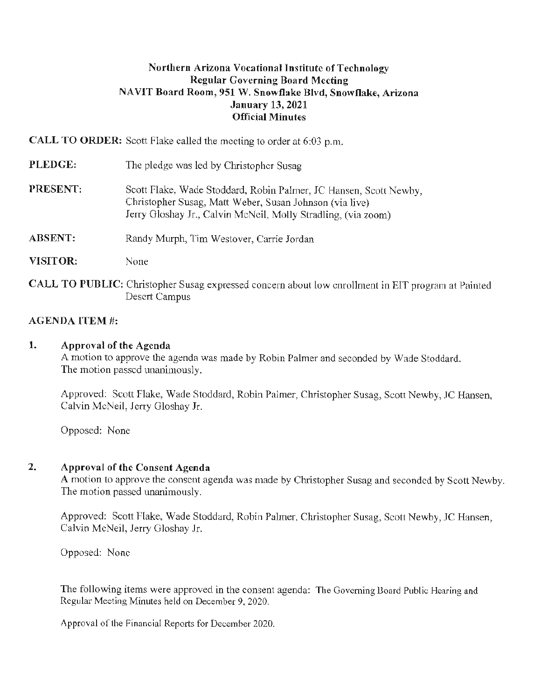# **Northern Arizona Vocational I nstitutc of Technology Regular Governing Board Meeting NAVIT Board Room, 951 W. Snowflake Blvd, Snowflake, Arizona January 13, 2021 Official Minutes**

**CALL TO ORDER:** Scott Flake called the meeting to order at 6:03 p.m.

| PLEDGE:        | The pledge was led by Christopher Susag                                                                                                                                                       |  |
|----------------|-----------------------------------------------------------------------------------------------------------------------------------------------------------------------------------------------|--|
| PRESENT:       | Scott Flake, Wade Stoddard, Robin Palmer, JC Hansen, Scott Newby,<br>Christopher Susag, Matt Weber, Susan Johnson (via live)<br>Jerry Gloshay Jr., Calvin McNeil, Molly Stradling, (via zoom) |  |
| <b>ABSENT:</b> | Randy Murph, Tim Westover, Carrie Jordan                                                                                                                                                      |  |

**VISITOR:**  None

**CALL TO PUBLIC:** Christopher Susag expressed concern about low enrollment in EIT program at Painted Desert Campus

# **AGENDA ITEM#:**

## **1. Approval of the Agenda**

A motion to approve the agenda was made by Robin Palmer and seconded by Wade Stoddard. The motion passed unanimously.

Approved: Scott Flake, Wade Stoddard, Robin Palmer, Christopher Susag, Scott Newby, JC Hansen, Calvin McNeil, Jerry Gloshay **Jr.** 

Opposed: None

# **2. Approval of the Consent Agenda**

A motion to approve the consent agenda was made by Christopher Susag and seconded by Scott Newby. The motion passed unanimously.

Approved: Scott Flake, Wade Stoddard, Robin Palmer, Christopher Susag, Scott Newby, JC Hansen, Calvin McNeil, Jerry Gloshay Jr.

Opposed: None

The following items were approved in the consent agenda: The Governing Board Public Hearing and Regular Meeting Minutes held on December 9, 2020.

Approval of the Financial Reports for December 2020.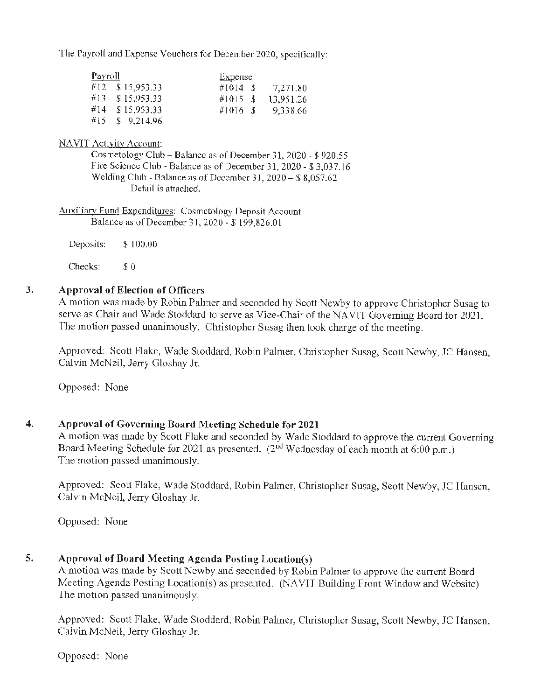The Payroll and Expense Vouchers for December 2020, specifically:

| Payroll |                 | <b>Expense</b> |           |
|---------|-----------------|----------------|-----------|
|         | #12 \$15,953.33 | $\#1014$ S     | 7,271.80  |
|         | #13 \$15,953.33 | #1015S         | 13,951.26 |
|         | #14 \$15,953.33 | $\#1016$ \$    | 9,338.66  |
| #15.    | \$9,214.96      |                |           |

NAVIT Activity Account:

Cosmetology Club - Balance as of December 31, 2020 - \$ 920.55 Fire Science Club - Balance as of December 31, 2020 - \$ 3,037.16 Welding Club - Balance as of December 31,  $2020 - 88,057.62$ Detail is attached.

Auxiliarv Fund Expenditures: Cosmetology Deposit Account Balance as of December 31, 2020 - \$199,826.01

Deposits: \$ 100.00

Checks: \$0

### **3. Approval of Election of Officers**

A motion was made by Robin Palmer and seconded by Scott Newby to approve Christopher Susag to serve as Chair and Wade Stoddard to serve as Vice-Chair of the NA VIT Governing Board for 2021. The motion passed unanimously. Christopher Susag then took charge of the meeting.

Approved: Scott Flake, Wade Stoddard, Robin Palmer, Christopher Susag, Scott Newby, JC Hansen, Calvin McNeil, Jerry Gloshay Jr.

Opposed: None

# **4. Approval of Governing Board Meeting Schedule for 2021**

A motion was made by Scott Flake and seconded by Wade Stoddard to approve the current Governing Board Meeting Schedule for 2021 as presented. (2<sup>nd</sup> Wednesday of each month at 6:00 p.m.) The motion passed unanimously.

Approved: Scott Flake, Wade Stoddard, Robin Palmer, Christopher Susag, Scott Newby, JC Hansen, Calvin McNeil, Jerry Gloshay Jr.

Opposed: None

# **5. Approval of Board Meeting Agenda Posting Location(s)**

A motion was made by Scott Newby and seconded by Robin Palmer to approve the current Board Meeting Agenda Posting Location(s) as presented. (NA VIT Building Front Window and Website) The motion passed unanimously.

Approved: Scott Flake, Wade Stoddard, Robin Palmer, Christopher Susag, Scott Newby, JC Hansen, Calvin McNeil, Jerry Gloshay Jr.

Opposed: None